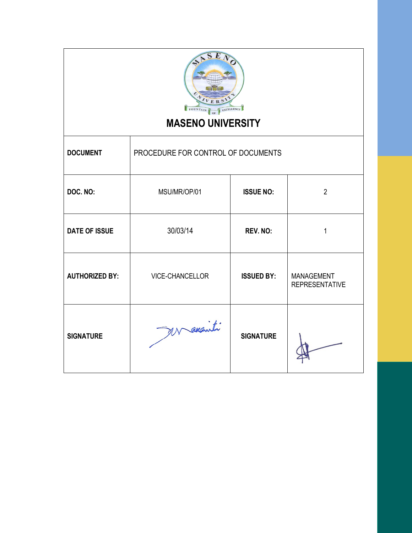

# **MASENO UNIVERSITY**

Τ

| <b>DOCUMENT</b>       | PROCEDURE FOR CONTROL OF DOCUMENTS |                   |                                            |
|-----------------------|------------------------------------|-------------------|--------------------------------------------|
| DOC. NO:              | MSU/MR/OP/01                       | <b>ISSUE NO:</b>  | $\overline{2}$                             |
| <b>DATE OF ISSUE</b>  | 30/03/14                           | <b>REV. NO:</b>   | 1                                          |
| <b>AUTHORIZED BY:</b> | VICE-CHANCELLOR                    | <b>ISSUED BY:</b> | <b>MANAGEMENT</b><br><b>REPRESENTATIVE</b> |
| <b>SIGNATURE</b>      | Macaniti                           | <b>SIGNATURE</b>  |                                            |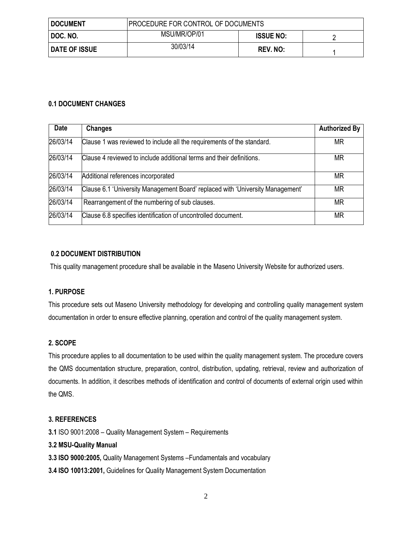| <b>DOCUMENT</b>      | <b>PROCEDURE FOR CONTROL OF DOCUMENTS</b> |                  |  |
|----------------------|-------------------------------------------|------------------|--|
| DOC. NO.             | MSU/MR/OP/01                              | <b>ISSUE NO:</b> |  |
| <b>DATE OF ISSUE</b> | 30/03/14                                  | REV. NO:         |  |

#### **0.1 DOCUMENT CHANGES**

| <b>Date</b> | <b>Changes</b>                                                                 | <b>Authorized By</b> |
|-------------|--------------------------------------------------------------------------------|----------------------|
| 26/03/14    | Clause 1 was reviewed to include all the requirements of the standard.         | ΜR                   |
| 26/03/14    | Clause 4 reviewed to include additional terms and their definitions.           | <b>MR</b>            |
| 26/03/14    | Additional references incorporated                                             | ΜR                   |
| 26/03/14    | Clause 6.1 'University Management Board' replaced with 'University Management' | ΜR                   |
| 26/03/14    | Rearrangement of the numbering of sub clauses.                                 | <b>MR</b>            |
| 26/03/14    | Clause 6.8 specifies identification of uncontrolled document.                  | ΜR                   |

#### **0.2 DOCUMENT DISTRIBUTION**

This quality management procedure shall be available in the Maseno University Website for authorized users.

#### **1. PURPOSE**

This procedure sets out Maseno University methodology for developing and controlling quality management system documentation in order to ensure effective planning, operation and control of the quality management system.

#### **2. SCOPE**

This procedure applies to all documentation to be used within the quality management system. The procedure covers the QMS documentation structure, preparation, control, distribution, updating, retrieval, review and authorization of documents. In addition, it describes methods of identification and control of documents of external origin used within the QMS.

#### **3. REFERENCES**

**3.1** ISO 9001:2008 – Quality Management System – Requirements

#### **3.2 MSU-Quality Manual**

- **3.3 ISO 9000:2005,** Quality Management Systems –Fundamentals and vocabulary
- **3.4 ISO 10013:2001,** Guidelines for Quality Management System Documentation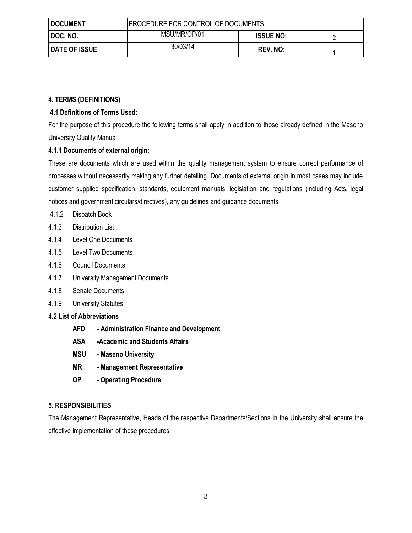| <b>DOCUMENT</b>      | <b>PROCEDURE FOR CONTROL OF DOCUMENTS</b> |                  |  |
|----------------------|-------------------------------------------|------------------|--|
| I DOC. NO.           | MSU/MR/OP/01                              | <b>ISSUE NO:</b> |  |
| <b>DATE OF ISSUE</b> | 30/03/14                                  | REV. NO:         |  |

# **4. TERMS (DEFINITIONS)**

# **4.1 Definitions of Terms Used:**

For the purpose of this procedure the following terms shall apply in addition to those already defined in the Maseno University Quality Manual.

# **4.1.1 Documents of external origin:**

These are documents which are used within the quality management system to ensure correct performance of processes without necessarily making any further detailing. Documents of external origin in most cases may include customer supplied specification, standards, equipment manuals, legislation and regulations (including Acts, legal notices and government circulars/directives), any guidelines and guidance documents

- 4.1.2 Dispatch Book
- 4.1.3 Distribution List
- 4.1.4 Level One Documents
- 4.1.5 Level Two Documents
- 4.1.6 Council Documents
- 4.1.7 University Management Documents
- 4.1.8 Senate Documents
- 4.1.9 University Statutes
- **4.2 List of Abbreviations**
	- **AFD - Administration Finance and Development**
	- **ASA -Academic and Students Affairs**
	- **MSU - Maseno University**
	- **MR - Management Representative**
	- **OP - Operating Procedure**

#### **5. RESPONSIBILITIES**

The Management Representative, Heads of the respective Departments/Sections in the University shall ensure the effective implementation of these procedures.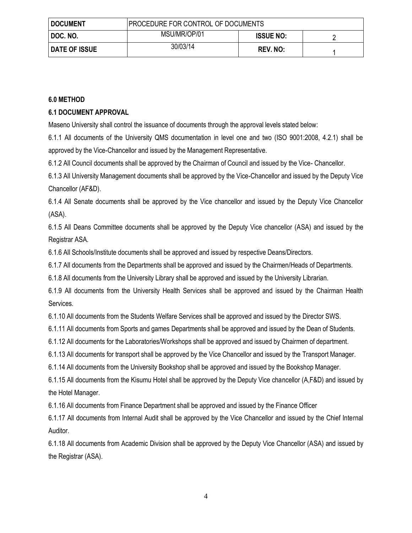| <b>DOCUMENT</b>      | <b>PROCEDURE FOR CONTROL OF DOCUMENTS</b> |                  |  |
|----------------------|-------------------------------------------|------------------|--|
| DOC. NO.             | MSU/MR/OP/01                              | <b>ISSUE NO:</b> |  |
| <b>DATE OF ISSUE</b> | 30/03/14                                  | REV. NO:         |  |

#### **6.0 METHOD**

#### **6.1 DOCUMENT APPROVAL**

Maseno University shall control the issuance of documents through the approval levels stated below:

6.1.1 All documents of the University QMS documentation in level one and two (ISO 9001:2008, 4.2.1) shall be approved by the Vice-Chancellor and issued by the Management Representative.

6.1.2 All Council documents shall be approved by the Chairman of Council and issued by the Vice- Chancellor.

6.1.3 All University Management documents shall be approved by the Vice-Chancellor and issued by the Deputy Vice Chancellor (AF&D).

6.1.4 All Senate documents shall be approved by the Vice chancellor and issued by the Deputy Vice Chancellor (ASA).

6.1.5 All Deans Committee documents shall be approved by the Deputy Vice chancellor (ASA) and issued by the Registrar ASA.

6.1.6 All Schools/Institute documents shall be approved and issued by respective Deans/Directors.

6.1.7 All documents from the Departments shall be approved and issued by the Chairmen/Heads of Departments.

6.1.8 All documents from the University Library shall be approved and issued by the University Librarian.

6.1.9 All documents from the University Health Services shall be approved and issued by the Chairman Health Services.

6.1.10 All documents from the Students Welfare Services shall be approved and issued by the Director SWS.

6.1.11 All documents from Sports and games Departments shall be approved and issued by the Dean of Students.

6.1.12 All documents for the Laboratories/Workshops shall be approved and issued by Chairmen of department.

6.1.13 All documents for transport shall be approved by the Vice Chancellor and issued by the Transport Manager.

6.1.14 All documents from the University Bookshop shall be approved and issued by the Bookshop Manager.

6.1.15 All documents from the Kisumu Hotel shall be approved by the Deputy Vice chancellor (A,F&D) and issued by the Hotel Manager.

6.1.16 All documents from Finance Department shall be approved and issued by the Finance Officer

6.1.17 All documents from Internal Audit shall be approved by the Vice Chancellor and issued by the Chief Internal Auditor.

6.1.18 All documents from Academic Division shall be approved by the Deputy Vice Chancellor (ASA) and issued by the Registrar (ASA).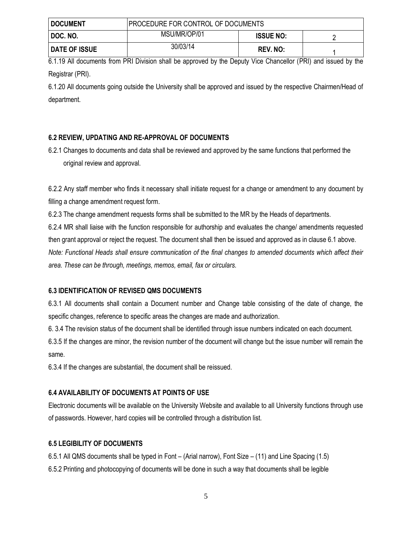| <b>DOCUMENT</b>      | <b>PROCEDURE FOR CONTROL OF DOCUMENTS</b> |                  |  |
|----------------------|-------------------------------------------|------------------|--|
| DOC. NO.             | MSU/MR/OP/01                              | <b>ISSUE NO:</b> |  |
| <b>DATE OF ISSUE</b> | 30/03/14                                  | <b>REV. NO:</b>  |  |

6.1.19 All documents from PRI Division shall be approved by the Deputy Vice Chancellor (PRI) and issued by the Registrar (PRI).

6.1.20 All documents going outside the University shall be approved and issued by the respective Chairmen/Head of department.

# **6.2 REVIEW, UPDATING AND RE-APPROVAL OF DOCUMENTS**

6.2.1 Changes to documents and data shall be reviewed and approved by the same functions that performed the original review and approval.

6.2.2 Any staff member who finds it necessary shall initiate request for a change or amendment to any document by filling a change amendment request form.

6.2.3 The change amendment requests forms shall be submitted to the MR by the Heads of departments.

6.2.4 MR shall liaise with the function responsible for authorship and evaluates the change/ amendments requested then grant approval or reject the request. The document shall then be issued and approved as in clause 6.1 above. *Note: Functional Heads shall ensure communication of the final changes to amended documents which affect their* 

*area. These can be through, meetings, memos, email, fax or circulars.*

# **6.3 IDENTIFICATION OF REVISED QMS DOCUMENTS**

6.3.1 All documents shall contain a Document number and Change table consisting of the date of change, the specific changes, reference to specific areas the changes are made and authorization.

6. 3.4 The revision status of the document shall be identified through issue numbers indicated on each document.

6.3.5 If the changes are minor, the revision number of the document will change but the issue number will remain the same.

6.3.4 If the changes are substantial, the document shall be reissued.

# **6.4 AVAILABILITY OF DOCUMENTS AT POINTS OF USE**

Electronic documents will be available on the University Website and available to all University functions through use of passwords. However, hard copies will be controlled through a distribution list.

#### **6.5 LEGIBILITY OF DOCUMENTS**

6.5.1 All QMS documents shall be typed in Font – (Arial narrow), Font Size – (11) and Line Spacing (1.5) 6.5.2 Printing and photocopying of documents will be done in such a way that documents shall be legible